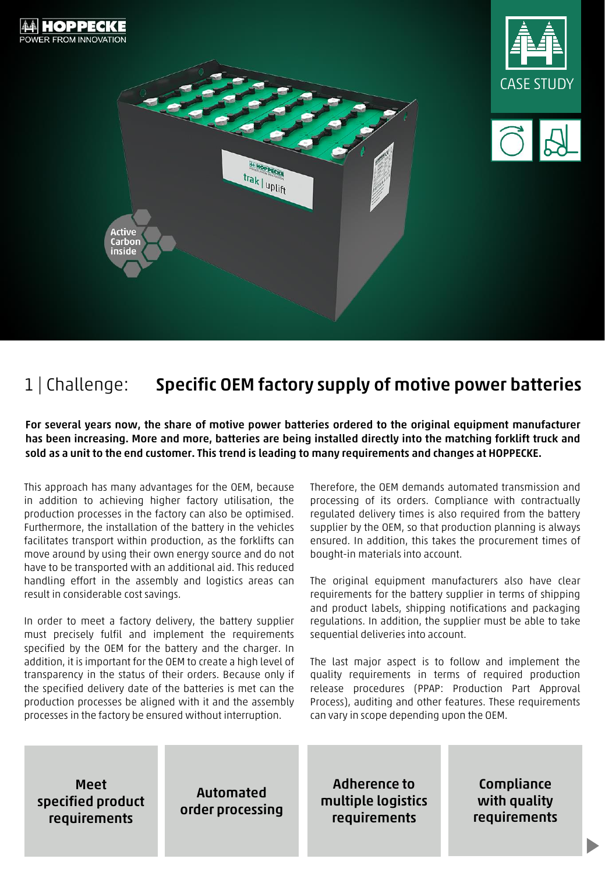

## 1 | Challenge: Specific OEM factory supply of motive power batteries

For several years now, the share of motive power batteries ordered to the original equipment manufacturer has been increasing. More and more, batteries are being installed directly into the matching forklift truck and sold as a unit to the end customer. This trend is leading to many requirements and changes at HOPPECKE.

This approach has many advantages for the OEM, because in addition to achieving higher factory utilisation, the production processes in the factory can also be optimised. Furthermore, the installation of the battery in the vehicles facilitates transport within production, as the forklifts can move around by using their own energy source and do not have to be transported with an additional aid. This reduced handling effort in the assembly and logistics areas can result in considerable cost savings.

In order to meet a factory delivery, the battery supplier must precisely fulfil and implement the requirements specified by the OEM for the battery and the charger. In addition, it is important for the OEM to create a high level of transparency in the status of their orders. Because only if the specified delivery date of the batteries is met can the production processes be aligned with it and the assembly processes in the factory be ensured without interruption.

Therefore, the OEM demands automated transmission and processing of its orders. Compliance with contractually regulated delivery times is also required from the battery supplier by the OEM, so that production planning is always ensured. In addition, this takes the procurement times of bought-in materials into account.

The original equipment manufacturers also have clear requirements for the battery supplier in terms of shipping and product labels, shipping notifications and packaging regulations. In addition, the supplier must be able to take sequential deliveries into account.

The last major aspect is to follow and implement the quality requirements in terms of required production release procedures (PPAP: Production Part Approval Process), auditing and other features. These requirements can vary in scope depending upon the OEM.

Meet specified product requirements

Automated order processing

Adherence to multiple logistics requirements

Compliance with quality requirements